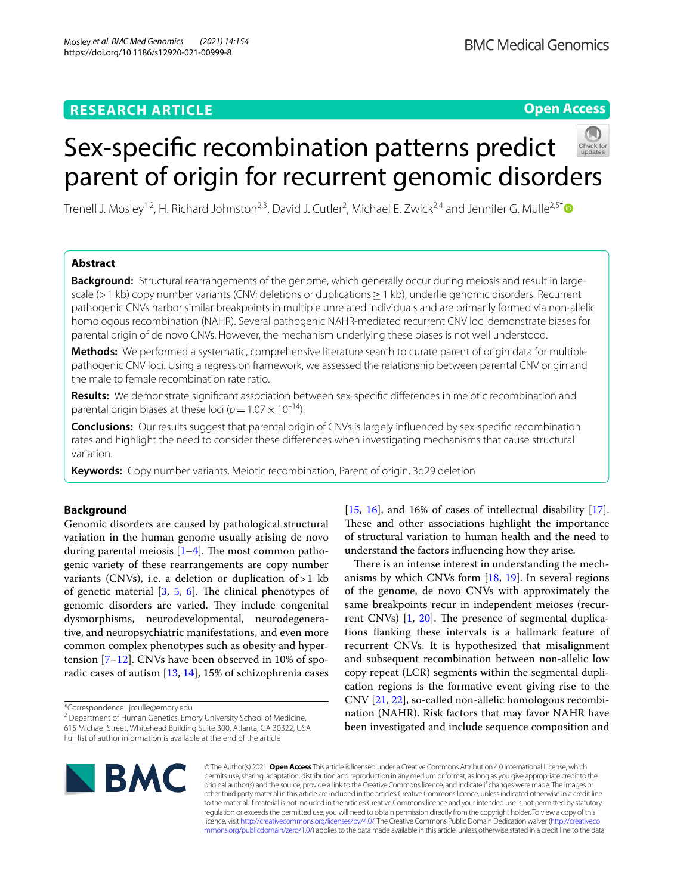# **Open Access**

# Sex-specifc recombination patterns predict parent of origin for recurrent genomic disorders

Trenell J. Mosley<sup>1,2</sup>, H. Richard Johnston<sup>2,3</sup>, David J. Cutler<sup>2</sup>, Michael E. Zwick<sup>2,4</sup> and Jennifer G. Mulle<sup>2,5[\\*](http://orcid.org/0000-0001-8593-8468)</sup>

# **Abstract**

**Background:** Structural rearrangements of the genome, which generally occur during meiosis and result in largescale (>1 kb) copy number variants (CNV; deletions or duplications≥1 kb), underlie genomic disorders. Recurrent pathogenic CNVs harbor similar breakpoints in multiple unrelated individuals and are primarily formed via non-allelic homologous recombination (NAHR). Several pathogenic NAHR-mediated recurrent CNV loci demonstrate biases for parental origin of de novo CNVs. However, the mechanism underlying these biases is not well understood.

**Methods:** We performed a systematic, comprehensive literature search to curate parent of origin data for multiple pathogenic CNV loci. Using a regression framework, we assessed the relationship between parental CNV origin and the male to female recombination rate ratio.

**Results:** We demonstrate signifcant association between sex-specifc diferences in meiotic recombination and parental origin biases at these loci ( $p=1.07\times 10^{-14}$ ).

**Conclusions:** Our results suggest that parental origin of CNVs is largely infuenced by sex-specifc recombination rates and highlight the need to consider these diferences when investigating mechanisms that cause structural variation.

**Keywords:** Copy number variants, Meiotic recombination, Parent of origin, 3q29 deletion

# **Background**

Genomic disorders are caused by pathological structural variation in the human genome usually arising de novo during parental meiosis  $[1-4]$  $[1-4]$ . The most common pathogenic variety of these rearrangements are copy number variants (CNVs), i.e. a deletion or duplication of > 1 kb of genetic material  $[3, 5, 6]$  $[3, 5, 6]$  $[3, 5, 6]$  $[3, 5, 6]$  $[3, 5, 6]$  $[3, 5, 6]$ . The clinical phenotypes of genomic disorders are varied. They include congenital dysmorphisms, neurodevelopmental, neurodegenerative, and neuropsychiatric manifestations, and even more common complex phenotypes such as obesity and hypertension [[7](#page-7-5)[–12](#page-8-0)]. CNVs have been observed in 10% of sporadic cases of autism [\[13](#page-8-1), [14\]](#page-8-2), 15% of schizophrenia cases

\*Correspondence: jmulle@emory.edu

<sup>2</sup> Department of Human Genetics, Emory University School of Medicine, 615 Michael Street, Whitehead Building Suite 300, Atlanta, GA 30322, USA Full list of author information is available at the end of the article

[[15,](#page-8-3) [16\]](#page-8-4), and 16% of cases of intellectual disability [\[17](#page-8-5)]. These and other associations highlight the importance of structural variation to human health and the need to understand the factors infuencing how they arise.

There is an intense interest in understanding the mechanisms by which CNVs form [\[18](#page-8-6), [19](#page-8-7)]. In several regions of the genome, de novo CNVs with approximately the same breakpoints recur in independent meioses (recurrent CNVs)  $[1, 20]$  $[1, 20]$  $[1, 20]$  $[1, 20]$  $[1, 20]$ . The presence of segmental duplications fanking these intervals is a hallmark feature of recurrent CNVs. It is hypothesized that misalignment and subsequent recombination between non-allelic low copy repeat (LCR) segments within the segmental duplication regions is the formative event giving rise to the CNV [[21,](#page-8-9) [22\]](#page-8-10), so-called non-allelic homologous recombination (NAHR). Risk factors that may favor NAHR have been investigated and include sequence composition and



© The Author(s) 2021. **Open Access** This article is licensed under a Creative Commons Attribution 4.0 International License, which permits use, sharing, adaptation, distribution and reproduction in any medium or format, as long as you give appropriate credit to the original author(s) and the source, provide a link to the Creative Commons licence, and indicate if changes were made. The images or other third party material in this article are included in the article's Creative Commons licence, unless indicated otherwise in a credit line to the material. If material is not included in the article's Creative Commons licence and your intended use is not permitted by statutory regulation or exceeds the permitted use, you will need to obtain permission directly from the copyright holder. To view a copy of this licence, visit [http://creativecommons.org/licenses/by/4.0/.](http://creativecommons.org/licenses/by/4.0/) The Creative Commons Public Domain Dedication waiver ([http://creativeco](http://creativecommons.org/publicdomain/zero/1.0/) [mmons.org/publicdomain/zero/1.0/](http://creativecommons.org/publicdomain/zero/1.0/)) applies to the data made available in this article, unless otherwise stated in a credit line to the data.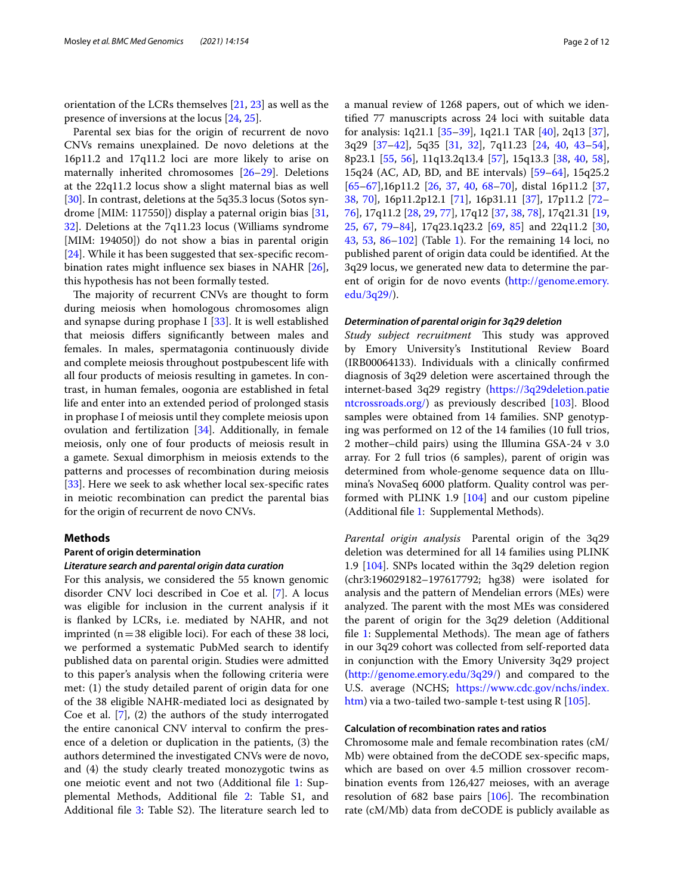orientation of the LCRs themselves [[21](#page-8-9), [23](#page-8-11)] as well as the presence of inversions at the locus [[24](#page-8-12), [25\]](#page-8-13).

Parental sex bias for the origin of recurrent de novo CNVs remains unexplained. De novo deletions at the 16p11.2 and 17q11.2 loci are more likely to arise on maternally inherited chromosomes [\[26–](#page-8-14)[29\]](#page-8-15). Deletions at the 22q11.2 locus show a slight maternal bias as well [[30\]](#page-8-16). In contrast, deletions at the 5q35.3 locus (Sotos syndrome [MIM: 117550]) display a paternal origin bias [\[31](#page-8-17), [32\]](#page-8-18). Deletions at the 7q11.23 locus (Williams syndrome [MIM: 194050]) do not show a bias in parental origin [[24\]](#page-8-12). While it has been suggested that sex-specific recombination rates might infuence sex biases in NAHR [\[26](#page-8-14)], this hypothesis has not been formally tested.

The majority of recurrent CNVs are thought to form during meiosis when homologous chromosomes align and synapse during prophase I [\[33](#page-8-19)]. It is well established that meiosis difers signifcantly between males and females. In males, spermatagonia continuously divide and complete meiosis throughout postpubescent life with all four products of meiosis resulting in gametes. In contrast, in human females, oogonia are established in fetal life and enter into an extended period of prolonged stasis in prophase I of meiosis until they complete meiosis upon ovulation and fertilization [[34](#page-8-20)]. Additionally, in female meiosis, only one of four products of meiosis result in a gamete. Sexual dimorphism in meiosis extends to the patterns and processes of recombination during meiosis [[33\]](#page-8-19). Here we seek to ask whether local sex-specific rates in meiotic recombination can predict the parental bias for the origin of recurrent de novo CNVs.

#### **Methods**

#### <span id="page-1-0"></span>**Parent of origin determination**

#### *Literature search and parental origin data curation*

For this analysis, we considered the 55 known genomic disorder CNV loci described in Coe et al. [[7\]](#page-7-5). A locus was eligible for inclusion in the current analysis if it is fanked by LCRs, i.e. mediated by NAHR, and not imprinted ( $n=38$  eligible loci). For each of these 38 loci, we performed a systematic PubMed search to identify published data on parental origin. Studies were admitted to this paper's analysis when the following criteria were met: (1) the study detailed parent of origin data for one of the 38 eligible NAHR-mediated loci as designated by Coe et al. [[7\]](#page-7-5), (2) the authors of the study interrogated the entire canonical CNV interval to confrm the presence of a deletion or duplication in the patients, (3) the authors determined the investigated CNVs were de novo, and (4) the study clearly treated monozygotic twins as one meiotic event and not two (Additional fle [1](#page-7-6): Supplemental Methods, Additional fle [2:](#page-7-7) Table S1, and Additional file [3:](#page-7-8) Table S2). The literature search led to a manual review of 1268 papers, out of which we identifed 77 manuscripts across 24 loci with suitable data for analysis: 1q21.1 [[35–](#page-8-21)[39](#page-8-22)], 1q21.1 TAR [[40\]](#page-8-23), 2q13 [\[37](#page-8-24)], 3q29 [[37](#page-8-24)[–42](#page-8-25)], 5q35 [[31](#page-8-17), [32](#page-8-18)], 7q11.23 [[24,](#page-8-12) [40](#page-8-23), [43](#page-8-26)[–54](#page-9-0)], 8p23.1 [[55,](#page-9-1) [56](#page-9-2)], 11q13.2q13.4 [\[57](#page-9-3)], 15q13.3 [[38,](#page-8-27) [40](#page-8-23), [58](#page-9-4)], 15q24 (AC, AD, BD, and BE intervals) [\[59–](#page-9-5)[64\]](#page-9-6), 15q25.2 [[65–](#page-9-7)[67\]](#page-9-8),16p11.2 [\[26](#page-8-14), [37](#page-8-24), [40](#page-8-23), [68](#page-9-9)[–70\]](#page-9-10), distal 16p11.2 [[37](#page-8-24), [38,](#page-8-27) [70\]](#page-9-10), 16p11.2p12.1 [\[71](#page-9-11)], 16p31.11 [\[37](#page-8-24)], 17p11.2 [[72–](#page-9-12) [76\]](#page-9-13), 17q11.2 [\[28,](#page-8-28) [29](#page-8-15), [77\]](#page-9-14), 17q12 [\[37](#page-8-24), [38,](#page-8-27) [78](#page-9-15)], 17q21.31 [[19](#page-8-7), [25,](#page-8-13) [67,](#page-9-8) [79](#page-9-16)[–84\]](#page-9-17), 17q23.1q23.2 [\[69](#page-9-18), [85](#page-9-19)] and 22q11.2 [[30](#page-8-16), [43,](#page-8-26) [53](#page-9-20), [86](#page-9-21)[–102](#page-10-0)] (Table [1\)](#page-2-0). For the remaining 14 loci, no published parent of origin data could be identifed. At the 3q29 locus, we generated new data to determine the parent of origin for de novo events [\(http://genome.emory.](http://genome.emory.edu/3q29/) [edu/3q29/](http://genome.emory.edu/3q29/)).

#### *Determination of parental origin for 3q29 deletion*

*Study subject recruitment* This study was approved by Emory University's Institutional Review Board (IRB00064133). Individuals with a clinically confrmed diagnosis of 3q29 deletion were ascertained through the internet-based 3q29 registry ([https://3q29deletion.patie](https://3q29deletion.patientcrossroads.org/) [ntcrossroads.org/](https://3q29deletion.patientcrossroads.org/)) as previously described [[103\]](#page-10-1). Blood samples were obtained from 14 families. SNP genotyping was performed on 12 of the 14 families (10 full trios, 2 mother–child pairs) using the Illumina GSA-24 v 3.0 array. For 2 full trios (6 samples), parent of origin was determined from whole-genome sequence data on Illumina's NovaSeq 6000 platform. Quality control was performed with PLINK 1.9 [[104](#page-10-2)] and our custom pipeline (Additional fle [1](#page-7-6): Supplemental Methods).

*Parental origin analysis* Parental origin of the 3q29 deletion was determined for all 14 families using PLINK 1.9 [\[104](#page-10-2)]. SNPs located within the 3q29 deletion region (chr3:196029182–197617792; hg38) were isolated for analysis and the pattern of Mendelian errors (MEs) were analyzed. The parent with the most MEs was considered the parent of origin for the 3q29 deletion (Additional file  $1$ : Supplemental Methods). The mean age of fathers in our 3q29 cohort was collected from self-reported data in conjunction with the Emory University 3q29 project (<http://genome.emory.edu/3q29/>) and compared to the U.S. average (NCHS; [https://www.cdc.gov/nchs/index.](https://www.cdc.gov/nchs/index.htm) [htm\)](https://www.cdc.gov/nchs/index.htm) via a two-tailed two-sample t-test using R [[105](#page-10-3)].

#### **Calculation of recombination rates and ratios**

Chromosome male and female recombination rates (cM/ Mb) were obtained from the deCODE sex-specifc maps, which are based on over 4.5 million crossover recombination events from 126,427 meioses, with an average resolution of  $682$  base pairs  $[106]$  $[106]$  $[106]$ . The recombination rate (cM/Mb) data from deCODE is publicly available as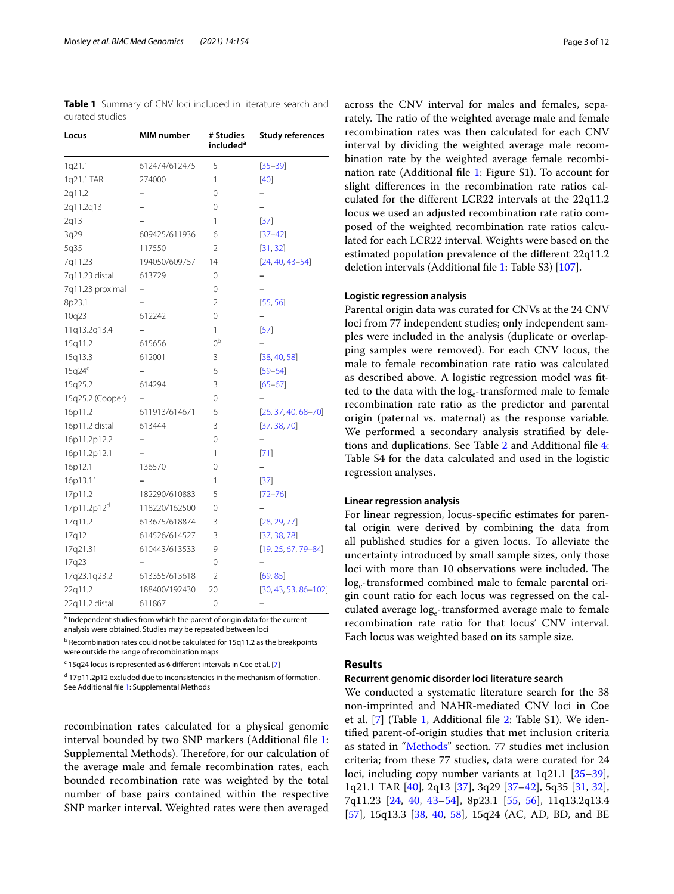<span id="page-2-0"></span>**Table 1** Summary of CNV loci included in literature search and curated studies

| Locus              | MIM number    | # Studies<br>included <sup>a</sup> | <b>Study references</b><br>$[35 - 39]$ |  |  |
|--------------------|---------------|------------------------------------|----------------------------------------|--|--|
| 1q21.1             | 612474/612475 | 5                                  |                                        |  |  |
| 1q21.1 TAR         | 274000        | 1                                  | [40]                                   |  |  |
| 2q11.2             |               | 0                                  |                                        |  |  |
| 2q11.2q13          |               | 0                                  |                                        |  |  |
| 2q13               |               | 1                                  | $[37]$                                 |  |  |
| 3q29               | 609425/611936 | 6                                  | $[37 - 42]$                            |  |  |
| 5q35               | 117550        | 2                                  | [31, 32]                               |  |  |
| 7q11.23            | 194050/609757 | 14                                 | $[24, 40, 43 - 54]$                    |  |  |
| 7q11.23 distal     | 613729        | 0                                  |                                        |  |  |
| 7q11.23 proximal   |               | 0                                  |                                        |  |  |
| 8p23.1             |               | 2                                  | [55, 56]                               |  |  |
| 10q23              | 612242        | 0                                  |                                        |  |  |
| 11q13.2q13.4       |               | 1                                  | [57]                                   |  |  |
| 15q11.2            | 615656        | 0 <sub>p</sub>                     |                                        |  |  |
| 15q13.3            | 612001        | 3                                  | [38, 40, 58]                           |  |  |
| 15q24 <sup>c</sup> |               | 6                                  | $[59 - 64]$                            |  |  |
| 15q25.2            | 614294        | 3                                  | $[65 - 67]$                            |  |  |
| 15q25.2 (Cooper)   |               | 0                                  |                                        |  |  |
| 16p11.2            | 611913/614671 | 6                                  | $[26, 37, 40, 68 - 70]$                |  |  |
| 16p11.2 distal     | 613444        | 3                                  | [37, 38, 70]                           |  |  |
| 16p11.2p12.2       |               | 0                                  |                                        |  |  |
| 16p11.2p12.1       |               | 1                                  | $[71]$                                 |  |  |
| 16p12.1            | 136570        | 0                                  |                                        |  |  |
| 16p13.11           |               | 1                                  | $[37]$                                 |  |  |
| 17p11.2            | 182290/610883 | 5                                  | $[72 - 76]$                            |  |  |
| 17p11.2p12d        | 118220/162500 | 0                                  |                                        |  |  |
| 17q11.2            | 613675/618874 | 3                                  | [28, 29, 77]                           |  |  |
| 17q12              | 614526/614527 | 3                                  | [37, 38, 78]                           |  |  |
| 17q21.31           | 610443/613533 | 9                                  | $[19, 25, 67, 79 - 84]$                |  |  |
| 17q23              |               | 0                                  |                                        |  |  |
| 17q23.1q23.2       | 613355/613618 | 2                                  | [69, 85]                               |  |  |
| 22q11.2            | 188400/192430 | 20                                 | $[30, 43, 53, 86 - 102]$               |  |  |
| 22q11.2 distal     | 611867        | 0                                  |                                        |  |  |

<sup>a</sup> Independent studies from which the parent of origin data for the current analysis were obtained. Studies may be repeated between loci

<sup>b</sup> Recombination rates could not be calculated for 15q11.2 as the breakpoints were outside the range of recombination maps

<sup>c</sup> 15q24 locus is represented as 6 different intervals in Coe et al. [\[7\]](#page-7-5)

<sup>d</sup> 17p11.2p12 excluded due to inconsistencies in the mechanism of formation. See Additional fle [1:](#page-7-6) Supplemental Methods

recombination rates calculated for a physical genomic interval bounded by two SNP markers (Additional fle [1](#page-7-6): Supplemental Methods). Therefore, for our calculation of the average male and female recombination rates, each bounded recombination rate was weighted by the total number of base pairs contained within the respective SNP marker interval. Weighted rates were then averaged across the CNV interval for males and females, separately. The ratio of the weighted average male and female recombination rates was then calculated for each CNV interval by dividing the weighted average male recombination rate by the weighted average female recombination rate (Additional fle [1:](#page-7-6) Figure S1). To account for slight diferences in the recombination rate ratios calculated for the diferent LCR22 intervals at the 22q11.2 locus we used an adjusted recombination rate ratio composed of the weighted recombination rate ratios calculated for each LCR22 interval. Weights were based on the estimated population prevalence of the diferent 22q11.2 deletion intervals (Additional fle [1](#page-7-6): Table S3) [\[107\]](#page-10-5).

#### **Logistic regression analysis**

Parental origin data was curated for CNVs at the 24 CNV loci from 77 independent studies; only independent samples were included in the analysis (duplicate or overlapping samples were removed). For each CNV locus, the male to female recombination rate ratio was calculated as described above. A logistic regression model was ftted to the data with the log<sub>e</sub>-transformed male to female recombination rate ratio as the predictor and parental origin (paternal vs. maternal) as the response variable. We performed a secondary analysis stratifed by deletions and duplications. See Table [2](#page-3-0) and Additional fle [4](#page-7-9): Table S4 for the data calculated and used in the logistic regression analyses.

#### **Linear regression analysis**

For linear regression, locus-specifc estimates for parental origin were derived by combining the data from all published studies for a given locus. To alleviate the uncertainty introduced by small sample sizes, only those loci with more than 10 observations were included. The log<sub>-transformed</sub> combined male to female parental origin count ratio for each locus was regressed on the calculated average log<sub>e</sub>-transformed average male to female recombination rate ratio for that locus' CNV interval. Each locus was weighted based on its sample size.

### **Results**

#### **Recurrent genomic disorder loci literature search**

We conducted a systematic literature search for the 38 non-imprinted and NAHR-mediated CNV loci in Coe et al. [[7\]](#page-7-5) (Table [1,](#page-2-0) Additional fle [2](#page-7-7): Table S1). We identifed parent-of-origin studies that met inclusion criteria as stated in "[Methods"](#page-1-0) section. 77 studies met inclusion criteria; from these 77 studies, data were curated for 24 loci, including copy number variants at 1q21.1 [[35](#page-8-21)[–39](#page-8-22)], 1q21.1 TAR [[40\]](#page-8-23), 2q13 [\[37\]](#page-8-24), 3q29 [\[37](#page-8-24)[–42\]](#page-8-25), 5q35 [\[31](#page-8-17), [32](#page-8-18)], 7q11.23 [\[24](#page-8-12), [40,](#page-8-23) [43](#page-8-26)[–54](#page-9-0)], 8p23.1 [\[55,](#page-9-1) [56](#page-9-2)], 11q13.2q13.4 [[57\]](#page-9-3), 15q13.3 [\[38](#page-8-27), [40,](#page-8-23) [58\]](#page-9-4), 15q24 (AC, AD, BD, and BE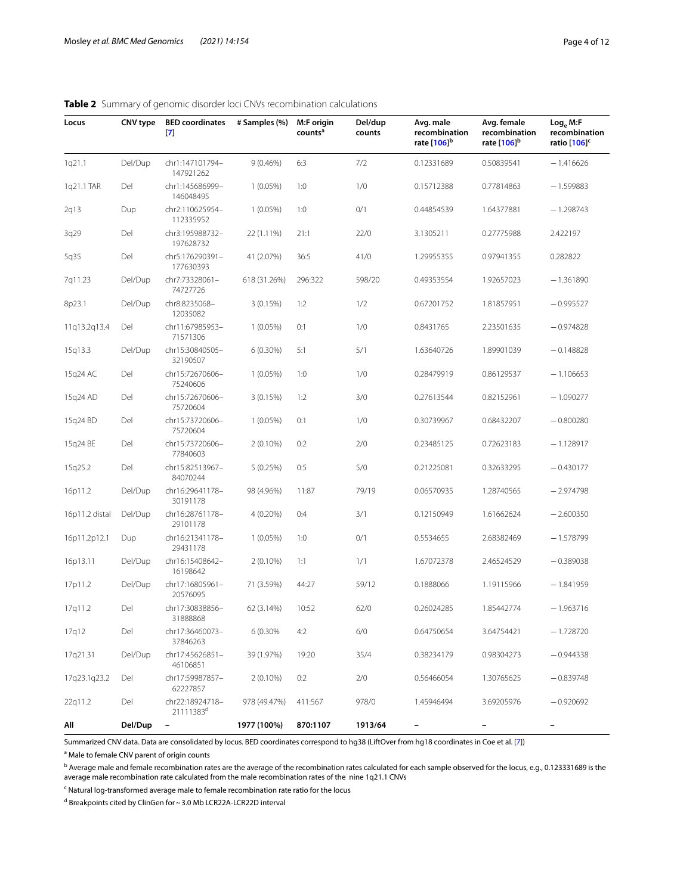| Page 4 of 1 |  |  |
|-------------|--|--|
|-------------|--|--|

| Locus          | CNV type | <b>BED</b> coordinates<br>$\mathbf{[7]}$ | # Samples (%) | M:F origin<br>counts <sup>a</sup> | Del/dup<br>counts | Avg. male<br>recombination<br>rate [106] <sup>b</sup> | Avg. female<br>recombination<br>rate [106] <sup>b</sup> | Log <sub>e</sub> M: F<br>recombination<br>ratio [106] <sup>c</sup> |
|----------------|----------|------------------------------------------|---------------|-----------------------------------|-------------------|-------------------------------------------------------|---------------------------------------------------------|--------------------------------------------------------------------|
| 1q21.1         | Del/Dup  | chr1:147101794-<br>147921262             | $9(0.46\%)$   | 6:3                               | 7/2               | 0.12331689                                            | 0.50839541                                              | $-1.416626$                                                        |
| 1q21.1 TAR     | Del      | chr1:145686999-<br>146048495             | $1(0.05\%)$   | 1:0                               | 1/0               | 0.15712388                                            | 0.77814863                                              | $-1.599883$                                                        |
| 2q13           | Dup      | chr2:110625954-<br>112335952             | $1(0.05\%)$   | 1:0                               | 0/1               | 0.44854539                                            | 1.64377881                                              | $-1.298743$                                                        |
| 3q29           | Del      | chr3:195988732-<br>197628732             | 22 (1.11%)    | 21:1                              | 22/0              | 3.1305211                                             | 0.27775988                                              | 2.422197                                                           |
| 5q35           | Del      | chr5:176290391-<br>177630393             | 41 (2.07%)    | 36:5                              | 41/0              | 1.29955355                                            | 0.97941355                                              | 0.282822                                                           |
| 7q11.23        | Del/Dup  | chr7:73328061-<br>74727726               | 618 (31.26%)  | 296:322                           | 598/20            | 0.49353554                                            | 1.92657023                                              | $-1.361890$                                                        |
| 8p23.1         | Del/Dup  | chr8:8235068-<br>12035082                | 3(0.15%)      | 1:2                               | 1/2               | 0.67201752                                            | 1.81857951                                              | $-0.995527$                                                        |
| 11q13.2q13.4   | Del      | chr11:67985953-<br>71571306              | $1(0.05\%)$   | 0:1                               | 1/0               | 0.8431765                                             | 2.23501635                                              | $-0.974828$                                                        |
| 15g13.3        | Del/Dup  | chr15:30840505-<br>32190507              | $6(0.30\%)$   | 5:1                               | 5/1               | 1.63640726                                            | 1.89901039                                              | $-0.148828$                                                        |
| 15q24 AC       | Del      | chr15:72670606-<br>75240606              | $1(0.05\%)$   | 1:0                               | 1/0               | 0.28479919                                            | 0.86129537                                              | $-1.106653$                                                        |
| 15q24 AD       | Del      | chr15:72670606-<br>75720604              | 3(0.15%)      | 1:2                               | 3/0               | 0.27613544                                            | 0.82152961                                              | $-1.090277$                                                        |
| 15q24 BD       | Del      | chr15:73720606-<br>75720604              | $1(0.05\%)$   | 0:1                               | 1/0               | 0.30739967                                            | 0.68432207                                              | $-0.800280$                                                        |
| 15q24 BE       | Del      | chr15:73720606-<br>77840603              | $2(0.10\%)$   | 0:2                               | 2/0               | 0.23485125                                            | 0.72623183                                              | $-1.128917$                                                        |
| 15q25.2        | Del      | chr15:82513967-<br>84070244              | 5(0.25%)      | 0:5                               | 5/0               | 0.21225081                                            | 0.32633295                                              | $-0.430177$                                                        |
| 16p11.2        | Del/Dup  | chr16:29641178-<br>30191178              | 98 (4.96%)    | 11:87                             | 79/19             | 0.06570935                                            | 1.28740565                                              | $-2.974798$                                                        |
| 16p11.2 distal | Del/Dup  | chr16:28761178-<br>29101178              | 4 (0.20%)     | 0:4                               | 3/1               | 0.12150949                                            | 1.61662624                                              | $-2.600350$                                                        |
| 16p11.2p12.1   | Dup      | chr16:21341178-<br>29431178              | $1(0.05\%)$   | 1:0                               | 0/1               | 0.5534655                                             | 2.68382469                                              | $-1.578799$                                                        |
| 16p13.11       | Del/Dup  | chr16:15408642-<br>16198642              | $2(0.10\%)$   | 1:1                               | 1/1               | 1.67072378                                            | 2.46524529                                              | $-0.389038$                                                        |
| 17p11.2        | Del/Dup  | chr17:16805961-<br>20576095              | 71 (3.59%)    | 44:27                             | 59/12             | 0.1888066                                             | 1.19115966                                              | $-1.841959$                                                        |
| 17q11.2        | Del      | chr17:30838856-<br>31888868              | 62 (3.14%)    | 10:52                             | 62/0              | 0.26024285                                            | 1.85442774                                              | $-1.963716$                                                        |
| 17q12          | Del      | chr17:36460073-<br>37846263              | 6 (0.30%      | 4:2                               | 6/0               | 0.64750654                                            | 3.64754421                                              | $-1.728720$                                                        |
| 17q21.31       | Del/Dup  | chr17:45626851-<br>46106851              | 39 (1.97%)    | 19:20                             | 35/4              | 0.38234179                                            | 0.98304273                                              | $-0.944338$                                                        |
| 17q23.1q23.2   | Del      | chr17:59987857-<br>62227857              | $2(0.10\%)$   | 0:2                               | 2/0               | 0.56466054                                            | 1.30765625                                              | $-0.839748$                                                        |
| 22q11.2        | Del      | chr22:18924718-<br>21111383 <sup>d</sup> | 978 (49.47%)  | 411:567                           | 978/0             | 1.45946494                                            | 3.69205976                                              | $-0.920692$                                                        |
| All            | Del/Dup  |                                          | 1977 (100%)   | 870:1107                          | 1913/64           |                                                       |                                                         |                                                                    |

## <span id="page-3-0"></span>**Table 2** Summary of genomic disorder loci CNVs recombination calculations

Summarized CNV data. Data are consolidated by locus. BED coordinates correspond to hg38 (LiftOver from hg18 coordinates in Coe et al. [[7](#page-7-5)])

<sup>a</sup> Male to female CNV parent of origin counts

b Average male and female recombination rates are the average of the recombination rates calculated for each sample observed for the locus, e.g., 0.123331689 is the average male recombination rate calculated from the male recombination rates of the nine 1q21.1 CNVs

<sup>c</sup> Natural log-transformed average male to female recombination rate ratio for the locus

d Breakpoints cited by ClinGen for ~ 3.0 Mb LCR22A-LCR22D interval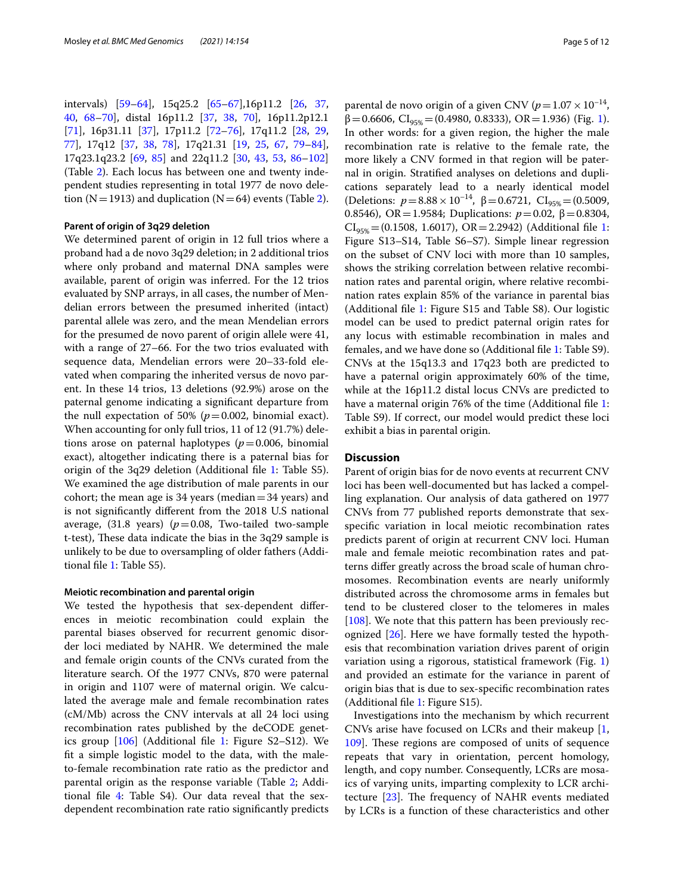intervals) [\[59](#page-9-5)[–64](#page-9-6)], 15q25.2 [[65–](#page-9-7)[67](#page-9-8)],16p11.2 [\[26](#page-8-14), [37](#page-8-24), [40,](#page-8-23) [68](#page-9-9)[–70](#page-9-10)], distal 16p11.2 [[37,](#page-8-24) [38](#page-8-27), [70](#page-9-10)], 16p11.2p12.1 [[71\]](#page-9-11), 16p31.11 [\[37\]](#page-8-24), 17p11.2 [\[72](#page-9-12)[–76](#page-9-13)], 17q11.2 [[28](#page-8-28), [29](#page-8-15), [77\]](#page-9-14), 17q12 [[37,](#page-8-24) [38,](#page-8-27) [78](#page-9-15)], 17q21.31 [[19,](#page-8-7) [25,](#page-8-13) [67](#page-9-8), [79](#page-9-16)[–84](#page-9-17)], 17q23.1q23.2 [[69,](#page-9-18) [85\]](#page-9-19) and 22q11.2 [[30,](#page-8-16) [43,](#page-8-26) [53,](#page-9-20) [86–](#page-9-21)[102](#page-10-0)] (Table [2](#page-3-0)). Each locus has between one and twenty independent studies representing in total 1977 de novo dele-tion (N=1913) and duplication (N=64) events (Table [2](#page-3-0)).

#### **Parent of origin of 3q29 deletion**

We determined parent of origin in 12 full trios where a proband had a de novo 3q29 deletion; in 2 additional trios where only proband and maternal DNA samples were available, parent of origin was inferred. For the 12 trios evaluated by SNP arrays, in all cases, the number of Mendelian errors between the presumed inherited (intact) parental allele was zero, and the mean Mendelian errors for the presumed de novo parent of origin allele were 41, with a range of 27–66. For the two trios evaluated with sequence data, Mendelian errors were 20–33-fold elevated when comparing the inherited versus de novo parent. In these 14 trios, 13 deletions (92.9%) arose on the paternal genome indicating a signifcant departure from the null expectation of 50% ( $p=0.002$ , binomial exact). When accounting for only full trios, 11 of 12 (91.7%) deletions arose on paternal haplotypes ( $p = 0.006$ , binomial exact), altogether indicating there is a paternal bias for origin of the 3q29 deletion (Additional fle [1:](#page-7-6) Table S5). We examined the age distribution of male parents in our cohort; the mean age is 34 years (median  $=$  34 years) and is not signifcantly diferent from the 2018 U.S national average,  $(31.8 \text{ years})$   $(p=0.08, \text{ Two-tailed two-sample})$ t-test), These data indicate the bias in the  $3q29$  sample is unlikely to be due to oversampling of older fathers (Additional fle [1](#page-7-6): Table S5).

#### **Meiotic recombination and parental origin**

We tested the hypothesis that sex-dependent diferences in meiotic recombination could explain the parental biases observed for recurrent genomic disorder loci mediated by NAHR. We determined the male and female origin counts of the CNVs curated from the literature search. Of the 1977 CNVs, 870 were paternal in origin and 1107 were of maternal origin. We calculated the average male and female recombination rates (cM/Mb) across the CNV intervals at all 24 loci using recombination rates published by the deCODE genetics group [\[106\]](#page-10-4) (Additional fle [1](#page-7-6): Figure S2–S12). We ft a simple logistic model to the data, with the maleto-female recombination rate ratio as the predictor and parental origin as the response variable (Table [2](#page-3-0); Additional fle [4](#page-7-9): Table S4). Our data reveal that the sexdependent recombination rate ratio signifcantly predicts

parental de novo origin of a given CNV ( $p=1.07\times 10^{-14}$ ,  $\beta$ =0.6606, CI<sub>95%</sub>=(0.4980, 0.8333), OR=[1](#page-5-0).936) (Fig. 1). In other words: for a given region, the higher the male recombination rate is relative to the female rate, the more likely a CNV formed in that region will be paternal in origin. Stratifed analyses on deletions and duplications separately lead to a nearly identical model (Deletions:  $p = 8.88 \times 10^{-14}$ ,  $\beta = 0.6721$ , CI<sub>95%</sub> = (0.5009, 0.8546), OR = 1.9584; Duplications:  $p = 0.02$ , β = 0.8304,  $CI_{95\%}$  = (0.[1](#page-7-6)508, 1.6017), OR = 2.2942) (Additional file 1: Figure S13–S14, Table S6–S7). Simple linear regression on the subset of CNV loci with more than 10 samples, shows the striking correlation between relative recombination rates and parental origin, where relative recombination rates explain 85% of the variance in parental bias (Additional fle [1:](#page-7-6) Figure S15 and Table S8). Our logistic model can be used to predict paternal origin rates for any locus with estimable recombination in males and females, and we have done so (Additional fle [1](#page-7-6): Table S9). CNVs at the 15q13.3 and 17q23 both are predicted to have a paternal origin approximately 60% of the time, while at the 16p11.2 distal locus CNVs are predicted to have a maternal origin 76% of the time (Additional file [1](#page-7-6): Table S9). If correct, our model would predict these loci exhibit a bias in parental origin.

#### **Discussion**

Parent of origin bias for de novo events at recurrent CNV loci has been well-documented but has lacked a compelling explanation. Our analysis of data gathered on 1977 CNVs from 77 published reports demonstrate that sexspecifc variation in local meiotic recombination rates predicts parent of origin at recurrent CNV loci. Human male and female meiotic recombination rates and patterns difer greatly across the broad scale of human chromosomes. Recombination events are nearly uniformly distributed across the chromosome arms in females but tend to be clustered closer to the telomeres in males [[108\]](#page-10-6). We note that this pattern has been previously recognized [[26\]](#page-8-14). Here we have formally tested the hypothesis that recombination variation drives parent of origin variation using a rigorous, statistical framework (Fig. [1](#page-5-0)) and provided an estimate for the variance in parent of origin bias that is due to sex-specifc recombination rates (Additional fle [1](#page-7-6): Figure S15).

Investigations into the mechanism by which recurrent CNVs arise have focused on LCRs and their makeup [\[1](#page-7-0), [109](#page-10-7). These regions are composed of units of sequence repeats that vary in orientation, percent homology, length, and copy number. Consequently, LCRs are mosaics of varying units, imparting complexity to LCR architecture  $[23]$ . The frequency of NAHR events mediated by LCRs is a function of these characteristics and other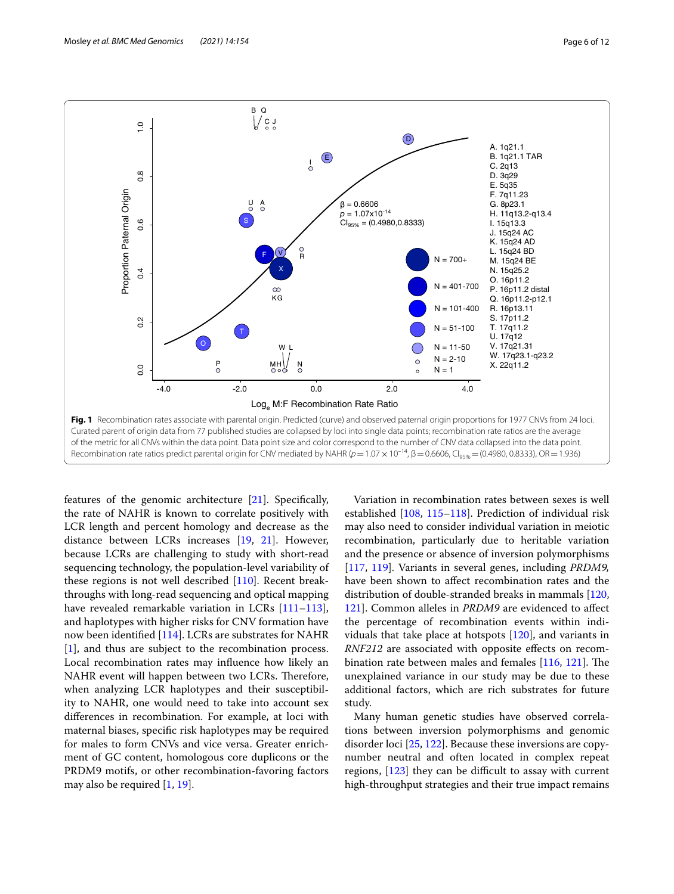

<span id="page-5-0"></span>features of the genomic architecture [[21](#page-8-9)]. Specifcally, the rate of NAHR is known to correlate positively with LCR length and percent homology and decrease as the distance between LCRs increases [[19](#page-8-7), [21\]](#page-8-9). However, because LCRs are challenging to study with short-read sequencing technology, the population-level variability of these regions is not well described [\[110\]](#page-10-8). Recent breakthroughs with long-read sequencing and optical mapping have revealed remarkable variation in LCRs [[111](#page-10-9)[–113](#page-10-10)], and haplotypes with higher risks for CNV formation have now been identifed [[114\]](#page-10-11). LCRs are substrates for NAHR [[1\]](#page-7-0), and thus are subject to the recombination process. Local recombination rates may infuence how likely an NAHR event will happen between two LCRs. Therefore, when analyzing LCR haplotypes and their susceptibility to NAHR, one would need to take into account sex diferences in recombination. For example, at loci with maternal biases, specifc risk haplotypes may be required for males to form CNVs and vice versa. Greater enrichment of GC content, homologous core duplicons or the PRDM9 motifs, or other recombination-favoring factors may also be required [[1,](#page-7-0) [19](#page-8-7)].

Variation in recombination rates between sexes is well established [[108,](#page-10-6) [115–](#page-10-12)[118\]](#page-10-13). Prediction of individual risk may also need to consider individual variation in meiotic recombination, particularly due to heritable variation and the presence or absence of inversion polymorphisms [[117,](#page-10-14) [119](#page-10-15)]. Variants in several genes, including *PRDM9,* have been shown to afect recombination rates and the distribution of double-stranded breaks in mammals [[120](#page-10-16), [121](#page-10-17)]. Common alleles in *PRDM9* are evidenced to afect the percentage of recombination events within individuals that take place at hotspots [\[120\]](#page-10-16), and variants in *RNF212* are associated with opposite effects on recombination rate between males and females  $[116, 121]$  $[116, 121]$  $[116, 121]$  $[116, 121]$ . The unexplained variance in our study may be due to these additional factors, which are rich substrates for future study.

Many human genetic studies have observed correlations between inversion polymorphisms and genomic disorder loci [\[25](#page-8-13), [122](#page-10-19)]. Because these inversions are copynumber neutral and often located in complex repeat regions,  $[123]$  $[123]$  $[123]$  they can be difficult to assay with current high-throughput strategies and their true impact remains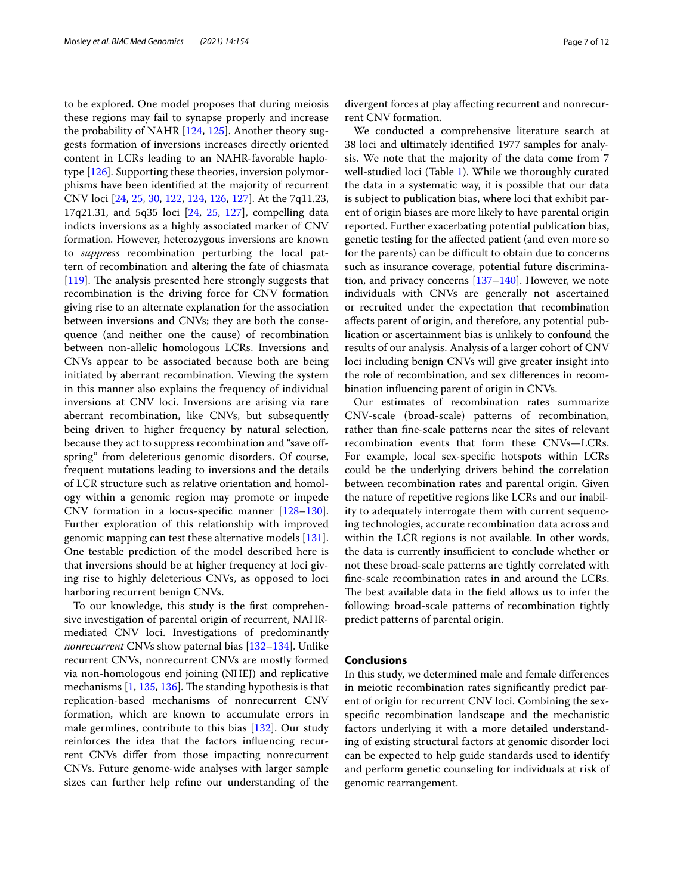to be explored. One model proposes that during meiosis these regions may fail to synapse properly and increase the probability of NAHR [\[124,](#page-10-21) [125\]](#page-10-22). Another theory suggests formation of inversions increases directly oriented content in LCRs leading to an NAHR-favorable haplotype [[126\]](#page-10-23). Supporting these theories, inversion polymorphisms have been identifed at the majority of recurrent CNV loci [[24](#page-8-12), [25](#page-8-13), [30](#page-8-16), [122,](#page-10-19) [124](#page-10-21), [126](#page-10-23), [127\]](#page-10-24). At the 7q11.23, 17q21.31, and 5q35 loci [\[24](#page-8-12), [25](#page-8-13), [127\]](#page-10-24), compelling data indicts inversions as a highly associated marker of CNV formation. However, heterozygous inversions are known to *suppress* recombination perturbing the local pattern of recombination and altering the fate of chiasmata [[119\]](#page-10-15). The analysis presented here strongly suggests that recombination is the driving force for CNV formation giving rise to an alternate explanation for the association between inversions and CNVs; they are both the consequence (and neither one the cause) of recombination between non-allelic homologous LCRs. Inversions and CNVs appear to be associated because both are being initiated by aberrant recombination. Viewing the system in this manner also explains the frequency of individual inversions at CNV loci. Inversions are arising via rare aberrant recombination, like CNVs, but subsequently being driven to higher frequency by natural selection, because they act to suppress recombination and "save ofspring" from deleterious genomic disorders. Of course, frequent mutations leading to inversions and the details of LCR structure such as relative orientation and homology within a genomic region may promote or impede CNV formation in a locus-specifc manner [[128](#page-10-25)[–130](#page-10-26)]. Further exploration of this relationship with improved genomic mapping can test these alternative models [\[131](#page-10-27)]. One testable prediction of the model described here is that inversions should be at higher frequency at loci giving rise to highly deleterious CNVs, as opposed to loci harboring recurrent benign CNVs.

To our knowledge, this study is the frst comprehensive investigation of parental origin of recurrent, NAHRmediated CNV loci. Investigations of predominantly *nonrecurrent* CNVs show paternal bias [\[132](#page-10-28)[–134\]](#page-10-29). Unlike recurrent CNVs, nonrecurrent CNVs are mostly formed via non-homologous end joining (NHEJ) and replicative mechanisms  $[1, 135, 136]$  $[1, 135, 136]$  $[1, 135, 136]$  $[1, 135, 136]$  $[1, 135, 136]$ . The standing hypothesis is that replication-based mechanisms of nonrecurrent CNV formation, which are known to accumulate errors in male germlines, contribute to this bias [[132](#page-10-28)]. Our study reinforces the idea that the factors infuencing recurrent CNVs difer from those impacting nonrecurrent CNVs. Future genome-wide analyses with larger sample sizes can further help refne our understanding of the divergent forces at play afecting recurrent and nonrecurrent CNV formation.

We conducted a comprehensive literature search at 38 loci and ultimately identifed 1977 samples for analysis. We note that the majority of the data come from 7 well-studied loci (Table [1](#page-2-0)). While we thoroughly curated the data in a systematic way, it is possible that our data is subject to publication bias, where loci that exhibit parent of origin biases are more likely to have parental origin reported. Further exacerbating potential publication bias, genetic testing for the afected patient (and even more so for the parents) can be difficult to obtain due to concerns such as insurance coverage, potential future discrimination, and privacy concerns  $[137–140]$  $[137–140]$  $[137–140]$  $[137–140]$ . However, we note individuals with CNVs are generally not ascertained or recruited under the expectation that recombination afects parent of origin, and therefore, any potential publication or ascertainment bias is unlikely to confound the results of our analysis. Analysis of a larger cohort of CNV loci including benign CNVs will give greater insight into the role of recombination, and sex diferences in recombination infuencing parent of origin in CNVs.

Our estimates of recombination rates summarize CNV-scale (broad-scale) patterns of recombination, rather than fne-scale patterns near the sites of relevant recombination events that form these CNVs—LCRs. For example, local sex-specifc hotspots within LCRs could be the underlying drivers behind the correlation between recombination rates and parental origin. Given the nature of repetitive regions like LCRs and our inability to adequately interrogate them with current sequencing technologies, accurate recombination data across and within the LCR regions is not available. In other words, the data is currently insufficient to conclude whether or not these broad-scale patterns are tightly correlated with fne-scale recombination rates in and around the LCRs. The best available data in the field allows us to infer the following: broad-scale patterns of recombination tightly predict patterns of parental origin.

#### **Conclusions**

In this study, we determined male and female diferences in meiotic recombination rates signifcantly predict parent of origin for recurrent CNV loci. Combining the sexspecifc recombination landscape and the mechanistic factors underlying it with a more detailed understanding of existing structural factors at genomic disorder loci can be expected to help guide standards used to identify and perform genetic counseling for individuals at risk of genomic rearrangement.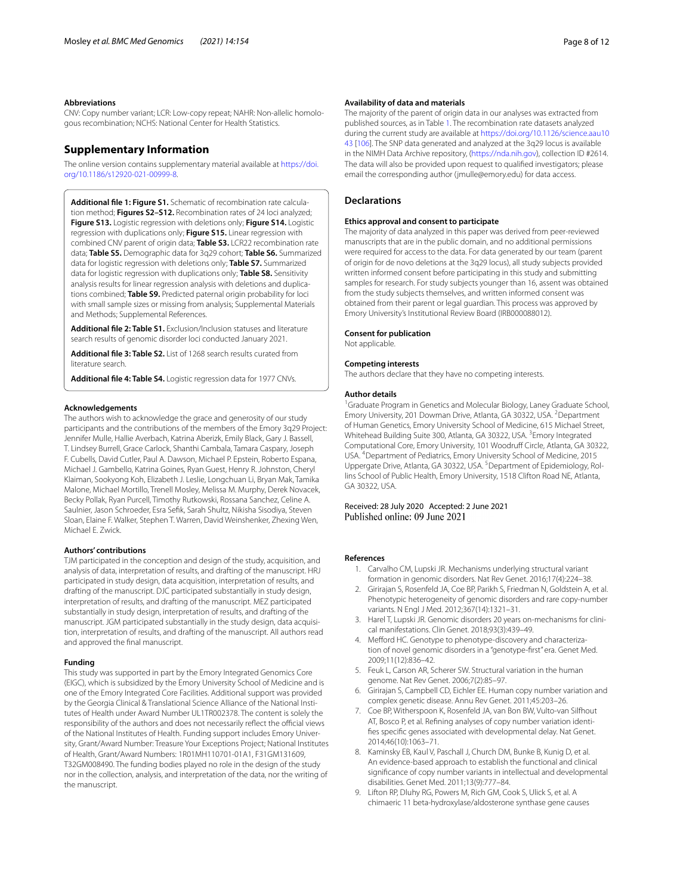#### **Abbreviations**

CNV: Copy number variant; LCR: Low-copy repeat; NAHR: Non-allelic homologous recombination; NCHS: National Center for Health Statistics.

### **Supplementary Information**

The online version contains supplementary material available at [https://doi.](https://doi.org/10.1186/s12920-021-00999-8) [org/10.1186/s12920-021-00999-8](https://doi.org/10.1186/s12920-021-00999-8).

<span id="page-7-6"></span>**Additional fle 1: Figure S1.** Schematic of recombination rate calculation method; **Figures S2–S12.** Recombination rates of 24 loci analyzed; **Figure S13.** Logistic regression with deletions only; **Figure S14.** Logistic regression with duplications only; **Figure S15.** Linear regression with combined CNV parent of origin data; **Table S3.** LCR22 recombination rate data; **Table S5.** Demographic data for 3q29 cohort; **Table S6.** Summarized data for logistic regression with deletions only; **Table S7.** Summarized data for logistic regression with duplications only; **Table S8.** Sensitivity analysis results for linear regression analysis with deletions and duplications combined; **Table S9.** Predicted paternal origin probability for loci with small sample sizes or missing from analysis; Supplemental Materials and Methods; Supplemental References.

<span id="page-7-8"></span><span id="page-7-7"></span>**Additional fle 2: Table S1.** Exclusion/Inclusion statuses and literature search results of genomic disorder loci conducted January 2021.

<span id="page-7-9"></span>**Additional fle 3: Table S2.** List of 1268 search results curated from literature search.

**Additional fle 4: Table S4.** Logistic regression data for 1977 CNVs.

#### **Acknowledgements**

The authors wish to acknowledge the grace and generosity of our study participants and the contributions of the members of the Emory 3q29 Project: Jennifer Mulle, Hallie Averbach, Katrina Aberizk, Emily Black, Gary J. Bassell, T. Lindsey Burrell, Grace Carlock, Shanthi Cambala, Tamara Caspary, Joseph F. Cubells, David Cutler, Paul A. Dawson, Michael P. Epstein, Roberto Espana, Michael J. Gambello, Katrina Goines, Ryan Guest, Henry R. Johnston, Cheryl Klaiman, Sookyong Koh, Elizabeth J. Leslie, Longchuan Li, Bryan Mak, Tamika Malone, Michael Mortillo, Trenell Mosley, Melissa M. Murphy, Derek Novacek, Becky Pollak, Ryan Purcell, Timothy Rutkowski, Rossana Sanchez, Celine A. Saulnier, Jason Schroeder, Esra Sefk, Sarah Shultz, Nikisha Sisodiya, Steven Sloan, Elaine F. Walker, Stephen T. Warren, David Weinshenker, Zhexing Wen, Michael E. Zwick.

#### **Authors' contributions**

TJM participated in the conception and design of the study, acquisition, and analysis of data, interpretation of results, and drafting of the manuscript. HRJ participated in study design, data acquisition, interpretation of results, and drafting of the manuscript. DJC participated substantially in study design, interpretation of results, and drafting of the manuscript. MEZ participated substantially in study design, interpretation of results, and drafting of the manuscript. JGM participated substantially in the study design, data acquisition, interpretation of results, and drafting of the manuscript. All authors read and approved the fnal manuscript.

#### **Funding**

This study was supported in part by the Emory Integrated Genomics Core (EIGC), which is subsidized by the Emory University School of Medicine and is one of the Emory Integrated Core Facilities. Additional support was provided by the Georgia Clinical & Translational Science Alliance of the National Institutes of Health under Award Number UL1TR002378. The content is solely the responsibility of the authors and does not necessarily reflect the official views of the National Institutes of Health. Funding support includes Emory University, Grant/Award Number: Treasure Your Exceptions Project; National Institutes of Health, Grant/Award Numbers: 1R01MH110701-01A1, F31GM131609, T32GM008490. The funding bodies played no role in the design of the study nor in the collection, analysis, and interpretation of the data, nor the writing of the manuscript.

#### **Availability of data and materials**

The majority of the parent of origin data in our analyses was extracted from published sources, as in Table [1.](#page-2-0) The recombination rate datasets analyzed during the current study are available at [https://doi.org/10.1126/science.aau10](https://doi.org/10.1126/science.aau1043) [43](https://doi.org/10.1126/science.aau1043) [[106\]](#page-10-4). The SNP data generated and analyzed at the 3q29 locus is available in the NIMH Data Archive repository, (<https://nda.nih.gov>), collection ID #2614. The data will also be provided upon request to qualifed investigators; please email the corresponding author (jmulle@emory.edu) for data access.

#### **Declarations**

#### **Ethics approval and consent to participate**

The majority of data analyzed in this paper was derived from peer-reviewed manuscripts that are in the public domain, and no additional permissions were required for access to the data. For data generated by our team (parent of origin for de novo deletions at the 3q29 locus), all study subjects provided written informed consent before participating in this study and submitting samples for research. For study subjects younger than 16, assent was obtained from the study subjects themselves, and written informed consent was obtained from their parent or legal guardian. This process was approved by Emory University's Institutional Review Board (IRB000088012).

#### **Consent for publication**

Not applicable.

#### **Competing interests**

The authors declare that they have no competing interests.

#### **Author details**

<sup>1</sup> Graduate Program in Genetics and Molecular Biology, Laney Graduate School, Emory University, 201 Dowman Drive, Atlanta, GA 30322, USA. <sup>2</sup> Department of Human Genetics, Emory University School of Medicine, 615 Michael Street, Whitehead Building Suite 300, Atlanta, GA 30322, USA.<sup>3</sup> Emory Integrated Computational Core, Emory University, 101 Woodruf Circle, Atlanta, GA 30322, USA. 4 Department of Pediatrics, Emory University School of Medicine, 2015 Uppergate Drive, Atlanta, GA 30322, USA.<sup>5</sup> Department of Epidemiology, Rollins School of Public Health, Emory University, 1518 Clifton Road NE, Atlanta, GA 30322, USA.

Received: 28 July 2020 Accepted: 2 June 2021<br>Published online: 09 June 2021

#### <span id="page-7-0"></span>**References**

- 1. Carvalho CM, Lupski JR. Mechanisms underlying structural variant formation in genomic disorders. Nat Rev Genet. 2016;17(4):224–38.
- 2. Girirajan S, Rosenfeld JA, Coe BP, Parikh S, Friedman N, Goldstein A, et al. Phenotypic heterogeneity of genomic disorders and rare copy-number variants. N Engl J Med. 2012;367(14):1321–31.
- <span id="page-7-2"></span>3. Harel T, Lupski JR. Genomic disorders 20 years on-mechanisms for clinical manifestations. Clin Genet. 2018;93(3):439–49.
- <span id="page-7-1"></span>4. Mefford HC. Genotype to phenotype-discovery and characterization of novel genomic disorders in a "genotype-frst" era. Genet Med. 2009;11(12):836–42.
- <span id="page-7-3"></span>5. Feuk L, Carson AR, Scherer SW. Structural variation in the human genome. Nat Rev Genet. 2006;7(2):85–97.
- <span id="page-7-4"></span>6. Girirajan S, Campbell CD, Eichler EE. Human copy number variation and complex genetic disease. Annu Rev Genet. 2011;45:203–26.
- <span id="page-7-5"></span>7. Coe BP, Witherspoon K, Rosenfeld JA, van Bon BW, Vulto-van Silfhout AT, Bosco P, et al. Refning analyses of copy number variation identifes specifc genes associated with developmental delay. Nat Genet. 2014;46(10):1063–71.
- 8. Kaminsky EB, Kaul V, Paschall J, Church DM, Bunke B, Kunig D, et al. An evidence-based approach to establish the functional and clinical signifcance of copy number variants in intellectual and developmental disabilities. Genet Med. 2011;13(9):777–84.
- Lifton RP, Dluhy RG, Powers M, Rich GM, Cook S, Ulick S, et al. A chimaeric 11 beta-hydroxylase/aldosterone synthase gene causes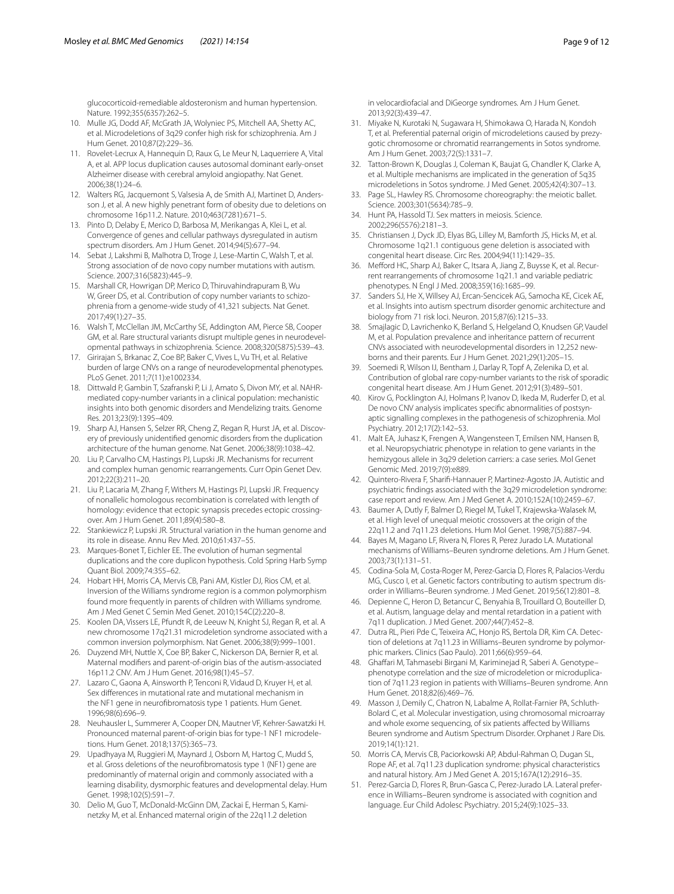glucocorticoid-remediable aldosteronism and human hypertension. Nature. 1992;355(6357):262–5.

- 10. Mulle JG, Dodd AF, McGrath JA, Wolyniec PS, Mitchell AA, Shetty AC, et al. Microdeletions of 3q29 confer high risk for schizophrenia. Am J Hum Genet. 2010;87(2):229–36.
- 11. Rovelet-Lecrux A, Hannequin D, Raux G, Le Meur N, Laquerriere A, Vital A, et al. APP locus duplication causes autosomal dominant early-onset Alzheimer disease with cerebral amyloid angiopathy. Nat Genet. 2006;38(1):24–6.
- <span id="page-8-0"></span>12. Walters RG, Jacquemont S, Valsesia A, de Smith AJ, Martinet D, Andersson J, et al. A new highly penetrant form of obesity due to deletions on chromosome 16p11.2. Nature. 2010;463(7281):671–5.
- <span id="page-8-1"></span>13. Pinto D, Delaby E, Merico D, Barbosa M, Merikangas A, Klei L, et al. Convergence of genes and cellular pathways dysregulated in autism spectrum disorders. Am J Hum Genet. 2014;94(5):677–94.
- <span id="page-8-2"></span>14. Sebat J, Lakshmi B, Malhotra D, Troge J, Lese-Martin C, Walsh T, et al. Strong association of de novo copy number mutations with autism. Science. 2007;316(5823):445–9.
- <span id="page-8-3"></span>15. Marshall CR, Howrigan DP, Merico D, Thiruvahindrapuram B, Wu W, Greer DS, et al. Contribution of copy number variants to schizophrenia from a genome-wide study of 41,321 subjects. Nat Genet. 2017;49(1):27–35.
- <span id="page-8-4"></span>16. Walsh T, McClellan JM, McCarthy SE, Addington AM, Pierce SB, Cooper GM, et al. Rare structural variants disrupt multiple genes in neurodevelopmental pathways in schizophrenia. Science. 2008;320(5875):539–43.
- <span id="page-8-5"></span>Girirajan S, Brkanac Z, Coe BP, Baker C, Vives L, Vu TH, et al. Relative burden of large CNVs on a range of neurodevelopmental phenotypes. PLoS Genet. 2011;7(11):e1002334.
- <span id="page-8-6"></span>18. Dittwald P, Gambin T, Szafranski P, Li J, Amato S, Divon MY, et al. NAHRmediated copy-number variants in a clinical population: mechanistic insights into both genomic disorders and Mendelizing traits. Genome Res. 2013;23(9):1395–409.
- <span id="page-8-7"></span>19. Sharp AJ, Hansen S, Selzer RR, Cheng Z, Regan R, Hurst JA, et al. Discovery of previously unidentifed genomic disorders from the duplication architecture of the human genome. Nat Genet. 2006;38(9):1038–42.
- <span id="page-8-8"></span>20. Liu P, Carvalho CM, Hastings PJ, Lupski JR. Mechanisms for recurrent and complex human genomic rearrangements. Curr Opin Genet Dev. 2012;22(3):211–20.
- <span id="page-8-9"></span>21. Liu P, Lacaria M, Zhang F, Withers M, Hastings PJ, Lupski JR. Frequency of nonallelic homologous recombination is correlated with length of homology: evidence that ectopic synapsis precedes ectopic crossingover. Am J Hum Genet. 2011;89(4):580–8.
- <span id="page-8-10"></span>22. Stankiewicz P, Lupski JR. Structural variation in the human genome and its role in disease. Annu Rev Med. 2010;61:437–55.
- <span id="page-8-11"></span>23. Marques-Bonet T, Eichler EE. The evolution of human segmental duplications and the core duplicon hypothesis. Cold Spring Harb Symp Quant Biol. 2009;74:355–62.
- <span id="page-8-12"></span>24. Hobart HH, Morris CA, Mervis CB, Pani AM, Kistler DJ, Rios CM, et al. Inversion of the Williams syndrome region is a common polymorphism found more frequently in parents of children with Williams syndrome. Am J Med Genet C Semin Med Genet. 2010;154C(2):220–8.
- <span id="page-8-13"></span>25. Koolen DA, Vissers LE, Pfundt R, de Leeuw N, Knight SJ, Regan R, et al. A new chromosome 17q21.31 microdeletion syndrome associated with a common inversion polymorphism. Nat Genet. 2006;38(9):999–1001.
- <span id="page-8-14"></span>26. Duyzend MH, Nuttle X, Coe BP, Baker C, Nickerson DA, Bernier R, et al. Maternal modifers and parent-of-origin bias of the autism-associated 16p11.2 CNV. Am J Hum Genet. 2016;98(1):45–57.
- 27. Lazaro C, Gaona A, Ainsworth P, Tenconi R, Vidaud D, Kruyer H, et al. Sex diferences in mutational rate and mutational mechanism in the NF1 gene in neurofbromatosis type 1 patients. Hum Genet. 1996;98(6):696–9.
- <span id="page-8-28"></span>28. Neuhausler L, Summerer A, Cooper DN, Mautner VF, Kehrer-Sawatzki H. Pronounced maternal parent-of-origin bias for type-1 NF1 microdeletions. Hum Genet. 2018;137(5):365–73.
- <span id="page-8-15"></span>29. Upadhyaya M, Ruggieri M, Maynard J, Osborn M, Hartog C, Mudd S, et al. Gross deletions of the neurofbromatosis type 1 (NF1) gene are predominantly of maternal origin and commonly associated with a learning disability, dysmorphic features and developmental delay. Hum Genet. 1998;102(5):591–7.
- <span id="page-8-16"></span>Delio M, Guo T, McDonald-McGinn DM, Zackai E, Herman S, Kaminetzky M, et al. Enhanced maternal origin of the 22q11.2 deletion

in velocardiofacial and DiGeorge syndromes. Am J Hum Genet. 2013;92(3):439–47.

- <span id="page-8-17"></span>31. Miyake N, Kurotaki N, Sugawara H, Shimokawa O, Harada N, Kondoh T, et al. Preferential paternal origin of microdeletions caused by prezygotic chromosome or chromatid rearrangements in Sotos syndrome. Am J Hum Genet. 2003;72(5):1331–7.
- <span id="page-8-18"></span>32. Tatton-Brown K, Douglas J, Coleman K, Baujat G, Chandler K, Clarke A, et al. Multiple mechanisms are implicated in the generation of 5q35 microdeletions in Sotos syndrome. J Med Genet. 2005;42(4):307–13.
- <span id="page-8-19"></span>33. Page SL, Hawley RS. Chromosome choreography: the meiotic ballet. Science. 2003;301(5634):785–9.
- <span id="page-8-20"></span>34. Hunt PA, Hassold TJ. Sex matters in meiosis. Science. 2002;296(5576):2181–3.
- <span id="page-8-21"></span>35. Christiansen J, Dyck JD, Elyas BG, Lilley M, Bamforth JS, Hicks M, et al. Chromosome 1q21.1 contiguous gene deletion is associated with congenital heart disease. Circ Res. 2004;94(11):1429–35.
- 36. Meford HC, Sharp AJ, Baker C, Itsara A, Jiang Z, Buysse K, et al. Recurrent rearrangements of chromosome 1q21.1 and variable pediatric phenotypes. N Engl J Med. 2008;359(16):1685–99.
- <span id="page-8-24"></span>37. Sanders SJ, He X, Willsey AJ, Ercan-Sencicek AG, Samocha KE, Cicek AE, et al. Insights into autism spectrum disorder genomic architecture and biology from 71 risk loci. Neuron. 2015;87(6):1215–33.
- <span id="page-8-27"></span>38. Smajlagic D, Lavrichenko K, Berland S, Helgeland O, Knudsen GP, Vaudel M, et al. Population prevalence and inheritance pattern of recurrent CNVs associated with neurodevelopmental disorders in 12,252 newborns and their parents. Eur J Hum Genet. 2021;29(1):205–15.
- <span id="page-8-22"></span>39. Soemedi R, Wilson IJ, Bentham J, Darlay R, Topf A, Zelenika D, et al. Contribution of global rare copy-number variants to the risk of sporadic congenital heart disease. Am J Hum Genet. 2012;91(3):489–501.
- <span id="page-8-23"></span>40. Kirov G, Pocklington AJ, Holmans P, Ivanov D, Ikeda M, Ruderfer D, et al. De novo CNV analysis implicates specifc abnormalities of postsynaptic signalling complexes in the pathogenesis of schizophrenia. Mol Psychiatry. 2012;17(2):142–53.
- 41. Malt EA, Juhasz K, Frengen A, Wangensteen T, Emilsen NM, Hansen B, et al. Neuropsychiatric phenotype in relation to gene variants in the hemizygous allele in 3q29 deletion carriers: a case series. Mol Genet Genomic Med. 2019;7(9):e889.
- <span id="page-8-25"></span>42. Quintero-Rivera F, Sharif-Hannauer P, Martinez-Agosto JA. Autistic and psychiatric fndings associated with the 3q29 microdeletion syndrome: case report and review. Am J Med Genet A. 2010;152A(10):2459–67.
- <span id="page-8-26"></span>43. Baumer A, Dutly F, Balmer D, Riegel M, Tukel T, Krajewska-Walasek M, et al. High level of unequal meiotic crossovers at the origin of the 22q11.2 and 7q11.23 deletions. Hum Mol Genet. 1998;7(5):887–94.
- 44. Bayes M, Magano LF, Rivera N, Flores R, Perez Jurado LA. Mutational mechanisms of Williams–Beuren syndrome deletions. Am J Hum Genet. 2003;73(1):131–51.
- 45. Codina-Sola M, Costa-Roger M, Perez-Garcia D, Flores R, Palacios-Verdu MG, Cusco I, et al. Genetic factors contributing to autism spectrum disorder in Williams–Beuren syndrome. J Med Genet. 2019;56(12):801–8.
- 46. Depienne C, Heron D, Betancur C, Benyahia B, Trouillard O, Bouteiller D, et al. Autism, language delay and mental retardation in a patient with 7q11 duplication. J Med Genet. 2007;44(7):452–8.
- 47. Dutra RL, Pieri Pde C, Teixeira AC, Honjo RS, Bertola DR, Kim CA. Detection of deletions at 7q11.23 in Williams–Beuren syndrome by polymorphic markers. Clinics (Sao Paulo). 2011;66(6):959–64.
- 48. Ghafari M, Tahmasebi Birgani M, Kariminejad R, Saberi A. Genotype– phenotype correlation and the size of microdeletion or microduplication of 7q11.23 region in patients with Williams–Beuren syndrome. Ann Hum Genet. 2018;82(6):469–76.
- 49. Masson J, Demily C, Chatron N, Labalme A, Rollat-Farnier PA, Schluth-Bolard C, et al. Molecular investigation, using chromosomal microarray and whole exome sequencing, of six patients affected by Williams Beuren syndrome and Autism Spectrum Disorder. Orphanet J Rare Dis. 2019;14(1):121.
- 50. Morris CA, Mervis CB, Paciorkowski AP, Abdul-Rahman O, Dugan SL, Rope AF, et al. 7q11.23 duplication syndrome: physical characteristics and natural history. Am J Med Genet A. 2015;167A(12):2916–35.
- 51. Perez-Garcia D, Flores R, Brun-Gasca C, Perez-Jurado LA. Lateral preference in Williams–Beuren syndrome is associated with cognition and language. Eur Child Adolesc Psychiatry. 2015;24(9):1025–33.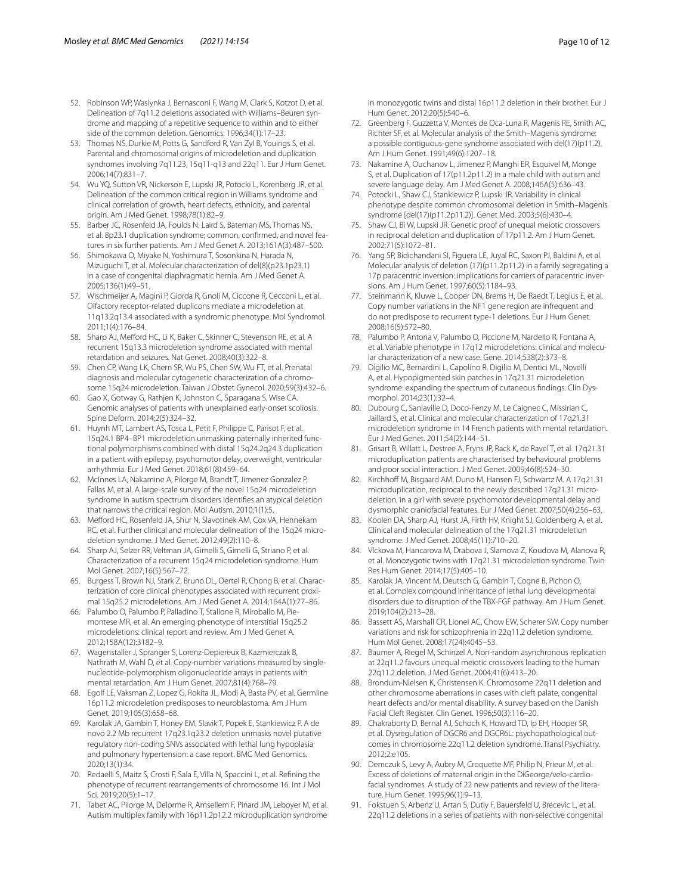- 52. Robinson WP, Waslynka J, Bernasconi F, Wang M, Clark S, Kotzot D, et al. Delineation of 7q11.2 deletions associated with Williams–Beuren syndrome and mapping of a repetitive sequence to within and to either side of the common deletion. Genomics. 1996;34(1):17–23.
- <span id="page-9-20"></span>53. Thomas NS, Durkie M, Potts G, Sandford R, Van Zyl B, Youings S, et al. Parental and chromosomal origins of microdeletion and duplication syndromes involving 7q11.23, 15q11-q13 and 22q11. Eur J Hum Genet. 2006;14(7):831–7.
- <span id="page-9-0"></span>54. Wu YQ, Sutton VR, Nickerson E, Lupski JR, Potocki L, Korenberg JR, et al. Delineation of the common critical region in Williams syndrome and clinical correlation of growth, heart defects, ethnicity, and parental origin. Am J Med Genet. 1998;78(1):82–9.
- <span id="page-9-1"></span>55. Barber JC, Rosenfeld JA, Foulds N, Laird S, Bateman MS, Thomas NS, et al. 8p23.1 duplication syndrome; common, confrmed, and novel features in six further patients. Am J Med Genet A. 2013;161A(3):487–500.
- <span id="page-9-2"></span>56. Shimokawa O, Miyake N, Yoshimura T, Sosonkina N, Harada N, Mizuguchi T, et al. Molecular characterization of del(8)(p23.1p23.1) in a case of congenital diaphragmatic hernia. Am J Med Genet A. 2005;136(1):49–51.
- <span id="page-9-3"></span>57. Wischmeijer A, Magini P, Giorda R, Gnoli M, Ciccone R, Cecconi L, et al. Olfactory receptor-related duplicons mediate a microdeletion at 11q13.2q13.4 associated with a syndromic phenotype. Mol Syndromol. 2011;1(4):176–84.
- <span id="page-9-4"></span>58. Sharp AJ, Mefford HC, Li K, Baker C, Skinner C, Stevenson RE, et al. A recurrent 15q13.3 microdeletion syndrome associated with mental retardation and seizures. Nat Genet. 2008;40(3):322–8.
- <span id="page-9-5"></span>59. Chen CP, Wang LK, Chern SR, Wu PS, Chen SW, Wu FT, et al. Prenatal diagnosis and molecular cytogenetic characterization of a chromosome 15q24 microdeletion. Taiwan J Obstet Gynecol. 2020;59(3):432–6.
- 60. Gao X, Gotway G, Rathjen K, Johnston C, Sparagana S, Wise CA. Genomic analyses of patients with unexplained early-onset scoliosis. Spine Deform. 2014;2(5):324–32.
- 61. Huynh MT, Lambert AS, Tosca L, Petit F, Philippe C, Parisot F, et al. 15q24.1 BP4–BP1 microdeletion unmasking paternally inherited functional polymorphisms combined with distal 15q24.2q24.3 duplication in a patient with epilepsy, psychomotor delay, overweight, ventricular arrhythmia. Eur J Med Genet. 2018;61(8):459–64.
- 62. McInnes LA, Nakamine A, Pilorge M, Brandt T, Jimenez Gonzalez P, Fallas M, et al. A large-scale survey of the novel 15q24 microdeletion syndrome in autism spectrum disorders identifes an atypical deletion that narrows the critical region. Mol Autism. 2010;1(1):5.
- 63. Mefford HC, Rosenfeld JA, Shur N, Slavotinek AM, Cox VA, Hennekam RC, et al. Further clinical and molecular delineation of the 15q24 microdeletion syndrome. J Med Genet. 2012;49(2):110–8.
- <span id="page-9-6"></span>64. Sharp AJ, Selzer RR, Veltman JA, Gimelli S, Gimelli G, Striano P, et al. Characterization of a recurrent 15q24 microdeletion syndrome. Hum Mol Genet. 2007;16(5):567–72.
- <span id="page-9-7"></span>65. Burgess T, Brown NJ, Stark Z, Bruno DL, Oertel R, Chong B, et al. Characterization of core clinical phenotypes associated with recurrent proximal 15q25.2 microdeletions. Am J Med Genet A. 2014;164A(1):77–86.
- 66. Palumbo O, Palumbo P, Palladino T, Stallone R, Miroballo M, Piemontese MR, et al. An emerging phenotype of interstitial 15q25.2 microdeletions: clinical report and review. Am J Med Genet A. 2012;158A(12):3182–9.
- <span id="page-9-8"></span>67. Wagenstaller J, Spranger S, Lorenz-Depiereux B, Kazmierczak B, Nathrath M, Wahl D, et al. Copy-number variations measured by singlenucleotide-polymorphism oligonucleotide arrays in patients with mental retardation. Am J Hum Genet. 2007;81(4):768–79.
- <span id="page-9-9"></span>68. Egolf LE, Vaksman Z, Lopez G, Rokita JL, Modi A, Basta PV, et al. Germline 16p11.2 microdeletion predisposes to neuroblastoma. Am J Hum Genet. 2019;105(3):658–68.
- <span id="page-9-18"></span>69. Karolak JA, Gambin T, Honey EM, Slavik T, Popek E, Stankiewicz P. A de novo 2.2 Mb recurrent 17q23.1q23.2 deletion unmasks novel putative regulatory non-coding SNVs associated with lethal lung hypoplasia and pulmonary hypertension: a case report. BMC Med Genomics. 2020;13(1):34.
- <span id="page-9-10"></span>70. Redaelli S, Maitz S, Crosti F, Sala E, Villa N, Spaccini L, et al. Refning the phenotype of recurrent rearrangements of chromosome 16. Int J Mol Sci. 2019;20(5):1–17.
- <span id="page-9-11"></span>71. Tabet AC, Pilorge M, Delorme R, Amsellem F, Pinard JM, Leboyer M, et al. Autism multiplex family with 16p11.2p12.2 microduplication syndrome
- <span id="page-9-12"></span>72. Greenberg F, Guzzetta V, Montes de Oca-Luna R, Magenis RE, Smith AC, Richter SF, et al. Molecular analysis of the Smith–Magenis syndrome: a possible contiguous-gene syndrome associated with del(17)(p11.2). Am J Hum Genet. 1991;49(6):1207–18.
- 73. Nakamine A, Ouchanov L, Jimenez P, Manghi ER, Esquivel M, Monge S, et al. Duplication of 17(p11.2p11.2) in a male child with autism and severe language delay. Am J Med Genet A. 2008;146A(5):636–43.
- 74. Potocki L, Shaw CJ, Stankiewicz P, Lupski JR. Variability in clinical phenotype despite common chromosomal deletion in Smith–Magenis syndrome [del(17)(p11.2p11.2)]. Genet Med. 2003;5(6):430–4.
- 75. Shaw CJ, Bi W, Lupski JR. Genetic proof of unequal meiotic crossovers in reciprocal deletion and duplication of 17p11.2. Am J Hum Genet. 2002;71(5):1072–81.
- <span id="page-9-13"></span>76. Yang SP, Bidichandani SI, Figuera LE, Juyal RC, Saxon PJ, Baldini A, et al. Molecular analysis of deletion (17)(p11.2p11.2) in a family segregating a 17p paracentric inversion: implications for carriers of paracentric inversions. Am J Hum Genet. 1997;60(5):1184–93.
- <span id="page-9-14"></span>77. Steinmann K, Kluwe L, Cooper DN, Brems H, De Raedt T, Legius E, et al. Copy number variations in the NF1 gene region are infrequent and do not predispose to recurrent type-1 deletions. Eur J Hum Genet. 2008;16(5):572–80.
- <span id="page-9-15"></span>78. Palumbo P, Antona V, Palumbo O, Piccione M, Nardello R, Fontana A, et al. Variable phenotype in 17q12 microdeletions: clinical and molecular characterization of a new case. Gene. 2014;538(2):373–8.
- <span id="page-9-16"></span>79. Digilio MC, Bernardini L, Capolino R, Digilio M, Dentici ML, Novelli A, et al. Hypopigmented skin patches in 17q21.31 microdeletion syndrome: expanding the spectrum of cutaneous fndings. Clin Dysmorphol. 2014;23(1):32–4.
- 80. Dubourg C, Sanlaville D, Doco-Fenzy M, Le Caignec C, Missirian C, Jaillard S, et al. Clinical and molecular characterization of 17q21.31 microdeletion syndrome in 14 French patients with mental retardation. Eur J Med Genet. 2011;54(2):144–51.
- 81. Grisart B, Willatt L, Destree A, Fryns JP, Rack K, de Ravel T, et al. 17q21.31 microduplication patients are characterised by behavioural problems and poor social interaction. J Med Genet. 2009;46(8):524–30.
- 82. Kirchhoff M, Bisgaard AM, Duno M, Hansen FJ, Schwartz M. A 17q21.31 microduplication, reciprocal to the newly described 17q21.31 microdeletion, in a girl with severe psychomotor developmental delay and dysmorphic craniofacial features. Eur J Med Genet. 2007;50(4):256–63.
- 83. Koolen DA, Sharp AJ, Hurst JA, Firth HV, Knight SJ, Goldenberg A, et al. Clinical and molecular delineation of the 17q21.31 microdeletion syndrome. J Med Genet. 2008;45(11):710–20.
- <span id="page-9-17"></span>84. Vlckova M, Hancarova M, Drabova J, Slamova Z, Koudova M, Alanova R, et al. Monozygotic twins with 17q21.31 microdeletion syndrome. Twin Res Hum Genet. 2014;17(5):405–10.
- <span id="page-9-19"></span>85. Karolak JA, Vincent M, Deutsch G, Gambin T, Cogne B, Pichon O, et al. Complex compound inheritance of lethal lung developmental disorders due to disruption of the TBX-FGF pathway. Am J Hum Genet. 2019;104(2):213–28.
- <span id="page-9-21"></span>86. Bassett AS, Marshall CR, Lionel AC, Chow EW, Scherer SW. Copy number variations and risk for schizophrenia in 22q11.2 deletion syndrome. Hum Mol Genet. 2008;17(24):4045–53.
- 87. Baumer A, Riegel M, Schinzel A. Non-random asynchronous replication at 22q11.2 favours unequal meiotic crossovers leading to the human 22q11.2 deletion. J Med Genet. 2004;41(6):413–20.
- 88. Brondum-Nielsen K, Christensen K. Chromosome 22q11 deletion and other chromosome aberrations in cases with cleft palate, congenital heart defects and/or mental disability. A survey based on the Danish Facial Cleft Register. Clin Genet. 1996;50(3):116–20.
- 89. Chakraborty D, Bernal AJ, Schoch K, Howard TD, Ip EH, Hooper SR, et al. Dysregulation of DGCR6 and DGCR6L: psychopathological outcomes in chromosome 22q11.2 deletion syndrome. Transl Psychiatry. 2012;2:e105.
- 90. Demczuk S, Levy A, Aubry M, Croquette MF, Philip N, Prieur M, et al. Excess of deletions of maternal origin in the DiGeorge/velo-cardiofacial syndromes. A study of 22 new patients and review of the literature. Hum Genet. 1995;96(1):9–13.
- 91. Fokstuen S, Arbenz U, Artan S, Dutly F, Bauersfeld U, Brecevic L, et al. 22q11.2 deletions in a series of patients with non-selective congenital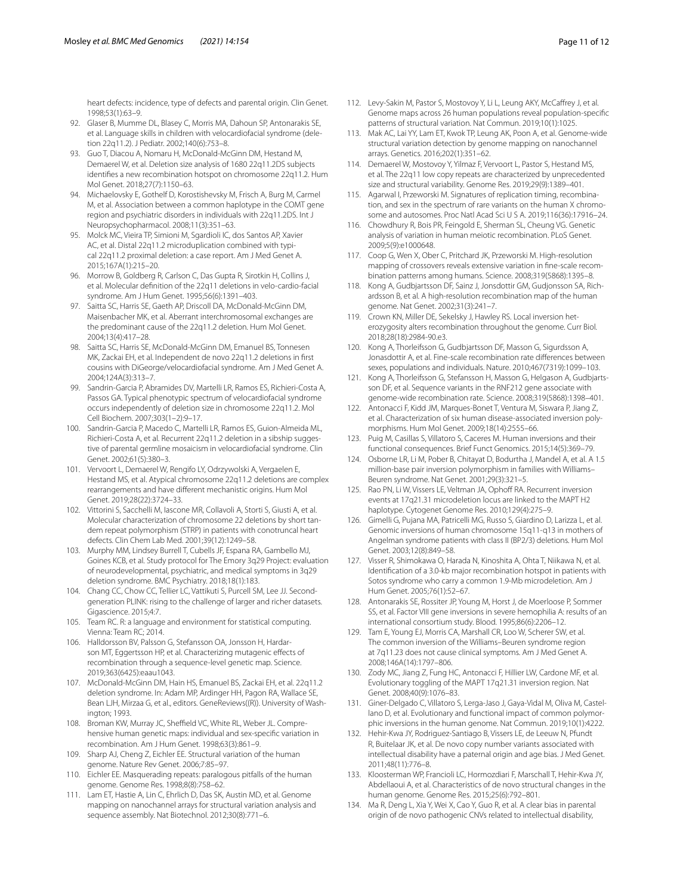heart defects: incidence, type of defects and parental origin. Clin Genet. 1998;53(1):63–9.

- 92. Glaser B, Mumme DL, Blasey C, Morris MA, Dahoun SP, Antonarakis SE, et al. Language skills in children with velocardiofacial syndrome (deletion 22q11.2). J Pediatr. 2002;140(6):753–8.
- 93. Guo T, Diacou A, Nomaru H, McDonald-McGinn DM, Hestand M, Demaerel W, et al. Deletion size analysis of 1680 22q11.2DS subjects identifes a new recombination hotspot on chromosome 22q11.2. Hum Mol Genet. 2018;27(7):1150–63.
- 94. Michaelovsky E, Gothelf D, Korostishevsky M, Frisch A, Burg M, Carmel M, et al. Association between a common haplotype in the COMT gene region and psychiatric disorders in individuals with 22q11.2DS. Int J Neuropsychopharmacol. 2008;11(3):351–63.
- 95. Molck MC, Vieira TP, Simioni M, Sgardioli IC, dos Santos AP, Xavier AC, et al. Distal 22q11.2 microduplication combined with typical 22q11.2 proximal deletion: a case report. Am J Med Genet A. 2015;167A(1):215–20.
- 96. Morrow B, Goldberg R, Carlson C, Das Gupta R, Sirotkin H, Collins J, et al. Molecular defnition of the 22q11 deletions in velo-cardio-facial syndrome. Am J Hum Genet. 1995;56(6):1391–403.
- 97. Saitta SC, Harris SE, Gaeth AP, Driscoll DA, McDonald-McGinn DM, Maisenbacher MK, et al. Aberrant interchromosomal exchanges are the predominant cause of the 22q11.2 deletion. Hum Mol Genet. 2004;13(4):417–28.
- 98. Saitta SC, Harris SE, McDonald-McGinn DM, Emanuel BS, Tonnesen MK, Zackai EH, et al. Independent de novo 22q11.2 deletions in frst cousins with DiGeorge/velocardiofacial syndrome. Am J Med Genet A. 2004;124A(3):313–7.
- 99. Sandrin-Garcia P, Abramides DV, Martelli LR, Ramos ES, Richieri-Costa A, Passos GA. Typical phenotypic spectrum of velocardiofacial syndrome occurs independently of deletion size in chromosome 22q11.2. Mol Cell Biochem. 2007;303(1–2):9–17.
- 100. Sandrin-Garcia P, Macedo C, Martelli LR, Ramos ES, Guion-Almeida ML, Richieri-Costa A, et al. Recurrent 22q11.2 deletion in a sibship suggestive of parental germline mosaicism in velocardiofacial syndrome. Clin Genet. 2002;61(5):380–3.
- 101. Vervoort L, Demaerel W, Rengifo LY, Odrzywolski A, Vergaelen E, Hestand MS, et al. Atypical chromosome 22q11.2 deletions are complex rearrangements and have diferent mechanistic origins. Hum Mol Genet. 2019;28(22):3724–33.
- <span id="page-10-0"></span>102. Vittorini S, Sacchelli M, Iascone MR, Collavoli A, Storti S, Giusti A, et al. Molecular characterization of chromosome 22 deletions by short tandem repeat polymorphism (STRP) in patients with conotruncal heart defects. Clin Chem Lab Med. 2001;39(12):1249–58.
- <span id="page-10-1"></span>103. Murphy MM, Lindsey Burrell T, Cubells JF, Espana RA, Gambello MJ, Goines KCB, et al. Study protocol for The Emory 3q29 Project: evaluation of neurodevelopmental, psychiatric, and medical symptoms in 3q29 deletion syndrome. BMC Psychiatry. 2018;18(1):183.
- <span id="page-10-2"></span>104. Chang CC, Chow CC, Tellier LC, Vattikuti S, Purcell SM, Lee JJ. Secondgeneration PLINK: rising to the challenge of larger and richer datasets. Gigascience. 2015;4:7.
- <span id="page-10-3"></span>105. Team RC. R: a language and environment for statistical computing. Vienna: Team RC; 2014.
- <span id="page-10-4"></span>106. Halldorsson BV, Palsson G, Stefansson OA, Jonsson H, Hardarson MT, Eggertsson HP, et al. Characterizing mutagenic effects of recombination through a sequence-level genetic map. Science. 2019;363(6425):eaau1043.
- <span id="page-10-5"></span>107. McDonald-McGinn DM, Hain HS, Emanuel BS, Zackai EH, et al. 22q11.2 deletion syndrome. In: Adam MP, Ardinger HH, Pagon RA, Wallace SE, Bean LJH, Mirzaa G, et al., editors. GeneReviews((R)). University of Washington; 1993.
- <span id="page-10-6"></span>108. Broman KW, Murray JC, Sheffield VC, White RL, Weber JL. Comprehensive human genetic maps: individual and sex-specifc variation in recombination. Am J Hum Genet. 1998;63(3):861–9.
- <span id="page-10-7"></span>109. Sharp AJ, Cheng Z, Eichler EE. Structural variation of the human genome. Nature Rev Genet. 2006;7:85–97.
- <span id="page-10-8"></span>110. Eichler EE. Masquerading repeats: paralogous pitfalls of the human genome. Genome Res. 1998;8(8):758–62.
- <span id="page-10-9"></span>111. Lam ET, Hastie A, Lin C, Ehrlich D, Das SK, Austin MD, et al. Genome mapping on nanochannel arrays for structural variation analysis and sequence assembly. Nat Biotechnol. 2012;30(8):771–6.
- 112. Levy-Sakin M, Pastor S, Mostovoy Y, Li L, Leung AKY, McCafrey J, et al. Genome maps across 26 human populations reveal population-specifc patterns of structural variation. Nat Commun. 2019;10(1):1025.
- <span id="page-10-10"></span>113. Mak AC, Lai YY, Lam ET, Kwok TP, Leung AK, Poon A, et al. Genome-wide structural variation detection by genome mapping on nanochannel arrays. Genetics. 2016;202(1):351–62.
- <span id="page-10-11"></span>114. Demaerel W, Mostovoy Y, Yilmaz F, Vervoort L, Pastor S, Hestand MS, et al. The 22q11 low copy repeats are characterized by unprecedented size and structural variability. Genome Res. 2019;29(9):1389–401.
- <span id="page-10-12"></span>115. Agarwal I, Przeworski M. Signatures of replication timing, recombination, and sex in the spectrum of rare variants on the human X chromosome and autosomes. Proc Natl Acad Sci U S A. 2019;116(36):17916–24.
- <span id="page-10-18"></span>116. Chowdhury R, Bois PR, Feingold E, Sherman SL, Cheung VG. Genetic analysis of variation in human meiotic recombination. PLoS Genet. 2009;5(9):e1000648.
- <span id="page-10-14"></span>117. Coop G, Wen X, Ober C, Pritchard JK, Przeworski M. High-resolution mapping of crossovers reveals extensive variation in fne-scale recombination patterns among humans. Science. 2008;319(5868):1395–8.
- <span id="page-10-13"></span>118. Kong A, Gudbjartsson DF, Sainz J, Jonsdottir GM, Gudjonsson SA, Richardsson B, et al. A high-resolution recombination map of the human genome. Nat Genet. 2002;31(3):241–7.
- <span id="page-10-15"></span>119. Crown KN, Miller DE, Sekelsky J, Hawley RS. Local inversion heterozygosity alters recombination throughout the genome. Curr Biol. 2018;28(18):2984-90.e3.
- <span id="page-10-16"></span>120. Kong A, Thorleifsson G, Gudbjartsson DF, Masson G, Sigurdsson A, Jonasdottir A, et al. Fine-scale recombination rate diferences between sexes, populations and individuals. Nature. 2010;467(7319):1099–103.
- <span id="page-10-17"></span>121. Kong A, Thorleifsson G, Stefansson H, Masson G, Helgason A, Gudbjartsson DF, et al. Sequence variants in the RNF212 gene associate with genome-wide recombination rate. Science. 2008;319(5868):1398–401.
- <span id="page-10-19"></span>122. Antonacci F, Kidd JM, Marques-Bonet T, Ventura M, Siswara P, Jiang Z, et al. Characterization of six human disease-associated inversion polymorphisms. Hum Mol Genet. 2009;18(14):2555–66.
- <span id="page-10-20"></span>123. Puig M, Casillas S, Villatoro S, Caceres M. Human inversions and their functional consequences. Brief Funct Genomics. 2015;14(5):369–79.
- <span id="page-10-21"></span>124. Osborne LR, Li M, Pober B, Chitayat D, Bodurtha J, Mandel A, et al. A 1.5 million-base pair inversion polymorphism in families with Williams– Beuren syndrome. Nat Genet. 2001;29(3):321–5.
- <span id="page-10-22"></span>125. Rao PN, Li W, Vissers LE, Veltman JA, Ophoff RA. Recurrent inversion events at 17q21.31 microdeletion locus are linked to the MAPT H2 haplotype. Cytogenet Genome Res. 2010;129(4):275–9.
- <span id="page-10-23"></span>126. Gimelli G, Pujana MA, Patricelli MG, Russo S, Giardino D, Larizza L, et al. Genomic inversions of human chromosome 15q11-q13 in mothers of Angelman syndrome patients with class II (BP2/3) deletions. Hum Mol Genet. 2003;12(8):849–58.
- <span id="page-10-24"></span>127. Visser R, Shimokawa O, Harada N, Kinoshita A, Ohta T, Niikawa N, et al. Identifcation of a 3.0-kb major recombination hotspot in patients with Sotos syndrome who carry a common 1.9-Mb microdeletion. Am J Hum Genet. 2005;76(1):52–67.
- <span id="page-10-25"></span>128. Antonarakis SE, Rossiter JP, Young M, Horst J, de Moerloose P, Sommer SS, et al. Factor VIII gene inversions in severe hemophilia A: results of an international consortium study. Blood. 1995;86(6):2206–12.
- 129. Tam E, Young EJ, Morris CA, Marshall CR, Loo W, Scherer SW, et al. The common inversion of the Williams–Beuren syndrome region at 7q11.23 does not cause clinical symptoms. Am J Med Genet A. 2008;146A(14):1797–806.
- <span id="page-10-26"></span>130. Zody MC, Jiang Z, Fung HC, Antonacci F, Hillier LW, Cardone MF, et al. Evolutionary toggling of the MAPT 17q21.31 inversion region. Nat Genet. 2008;40(9):1076–83.
- <span id="page-10-27"></span>131. Giner-Delgado C, Villatoro S, Lerga-Jaso J, Gaya-Vidal M, Oliva M, Castellano D, et al. Evolutionary and functional impact of common polymorphic inversions in the human genome. Nat Commun. 2019;10(1):4222.
- <span id="page-10-28"></span>132. Hehir-Kwa JY, Rodriguez-Santiago B, Vissers LE, de Leeuw N, Pfundt R, Buitelaar JK, et al. De novo copy number variants associated with intellectual disability have a paternal origin and age bias. J Med Genet. 2011;48(11):776–8.
- 133. Kloosterman WP, Francioli LC, Hormozdiari F, Marschall T, Hehir-Kwa JY, Abdellaoui A, et al. Characteristics of de novo structural changes in the human genome. Genome Res. 2015;25(6):792–801.
- <span id="page-10-29"></span>134. Ma R, Deng L, Xia Y, Wei X, Cao Y, Guo R, et al. A clear bias in parental origin of de novo pathogenic CNVs related to intellectual disability,